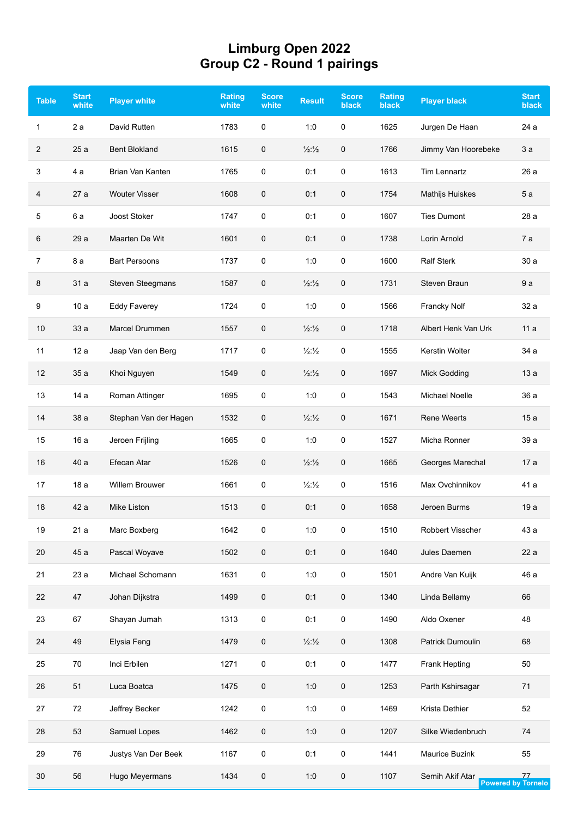## **Limburg Open 2022 Group C2 - Round 1 pairings**

| <b>Table</b> | <b>Start</b><br>white | <b>Player white</b>     | <b>Rating</b><br>white | <b>Score</b><br>white | <b>Result</b>            | <b>Score</b><br><b>black</b> | <b>Rating</b><br><b>black</b> | <b>Player black</b>    | <b>Start</b><br><b>black</b>    |
|--------------|-----------------------|-------------------------|------------------------|-----------------------|--------------------------|------------------------------|-------------------------------|------------------------|---------------------------------|
| $\mathbf{1}$ | 2a                    | David Rutten            | 1783                   | 0                     | 1:0                      | 0                            | 1625                          | Jurgen De Haan         | 24 a                            |
| 2            | 25a                   | <b>Bent Blokland</b>    | 1615                   | 0                     | $\frac{1}{2}\frac{1}{2}$ | 0                            | 1766                          | Jimmy Van Hoorebeke    | 3a                              |
| 3            | 4 a                   | Brian Van Kanten        | 1765                   | 0                     | 0:1                      | 0                            | 1613                          | <b>Tim Lennartz</b>    | 26 a                            |
| 4            | 27a                   | <b>Wouter Visser</b>    | 1608                   | 0                     | 0:1                      | 0                            | 1754                          | <b>Mathijs Huiskes</b> | 5a                              |
| 5            | 6 a                   | Joost Stoker            | 1747                   | 0                     | 0:1                      | 0                            | 1607                          | <b>Ties Dumont</b>     | 28 a                            |
| 6            | 29 a                  | Maarten De Wit          | 1601                   | 0                     | 0:1                      | 0                            | 1738                          | Lorin Arnold           | 7a                              |
| 7            | 8 a                   | <b>Bart Persoons</b>    | 1737                   | 0                     | 1:0                      | 0                            | 1600                          | <b>Ralf Sterk</b>      | 30a                             |
| 8            | 31 a                  | <b>Steven Steegmans</b> | 1587                   | 0                     | $\frac{1}{2}\frac{1}{2}$ | 0                            | 1731                          | Steven Braun           | 9a                              |
| 9            | 10a                   | <b>Eddy Faverey</b>     | 1724                   | 0                     | 1:0                      | 0                            | 1566                          | <b>Francky Nolf</b>    | 32 a                            |
| 10           | 33 a                  | Marcel Drummen          | 1557                   | 0                     | $\frac{1}{2}\frac{1}{2}$ | 0                            | 1718                          | Albert Henk Van Urk    | 11a                             |
| 11           | 12a                   | Jaap Van den Berg       | 1717                   | 0                     | $\frac{1}{2}\frac{1}{2}$ | 0                            | 1555                          | Kerstin Wolter         | 34 a                            |
| 12           | 35a                   | Khoi Nguyen             | 1549                   | 0                     | $\frac{1}{2}\frac{1}{2}$ | 0                            | 1697                          | <b>Mick Godding</b>    | 13a                             |
| 13           | 14a                   | Roman Attinger          | 1695                   | 0                     | 1:0                      | 0                            | 1543                          | <b>Michael Noelle</b>  | 36 a                            |
| 14           | 38 a                  | Stephan Van der Hagen   | 1532                   | 0                     | $\frac{1}{2}\frac{1}{2}$ | 0                            | 1671                          | <b>Rene Weerts</b>     | 15a                             |
| 15           | 16 a                  | Jeroen Frijling         | 1665                   | 0                     | 1:0                      | 0                            | 1527                          | Micha Ronner           | 39 a                            |
| 16           | 40 a                  | Efecan Atar             | 1526                   | 0                     | $\frac{1}{2}\frac{1}{2}$ | 0                            | 1665                          | Georges Marechal       | 17a                             |
| 17           | 18a                   | <b>Willem Brouwer</b>   | 1661                   | 0                     | $\frac{1}{2}\frac{1}{2}$ | 0                            | 1516                          | Max Ovchinnikov        | 41 a                            |
| 18           | 42 a                  | Mike Liston             | 1513                   | 0                     | 0:1                      | 0                            | 1658                          | Jeroen Burms           | 19 a                            |
| 19           | 21a                   | Marc Boxberg            | 1642                   | 0                     | 1:0                      | 0                            | 1510                          | Robbert Visscher       | 43 a                            |
| 20           | 45 a                  | Pascal Woyave           | 1502                   | 0                     | 0:1                      | 0                            | 1640                          | Jules Daemen           | 22a                             |
| 21           | 23 a                  | Michael Schomann        | 1631                   | 0                     | 1:0                      | 0                            | 1501                          | Andre Van Kuijk        | 46 a                            |
| 22           | 47                    | Johan Dijkstra          | 1499                   | 0                     | 0:1                      | 0                            | 1340                          | Linda Bellamy          | 66                              |
| 23           | 67                    | Shayan Jumah            | 1313                   | 0                     | 0:1                      | 0                            | 1490                          | Aldo Oxener            | 48                              |
| 24           | 49                    | Elysia Feng             | 1479                   | 0                     | $\frac{1}{2}\frac{1}{2}$ | 0                            | 1308                          | Patrick Dumoulin       | 68                              |
| 25           | 70                    | Inci Erbilen            | 1271                   | 0                     | 0:1                      | 0                            | 1477                          | Frank Hepting          | 50                              |
| 26           | 51                    | Luca Boatca             | 1475                   | 0                     | 1:0                      | 0                            | 1253                          | Parth Kshirsagar       | 71                              |
| 27           | 72                    | Jeffrey Becker          | 1242                   | 0                     | 1:0                      | 0                            | 1469                          | Krista Dethier         | 52                              |
| 28           | 53                    | Samuel Lopes            | 1462                   | 0                     | 1:0                      | 0                            | 1207                          | Silke Wiedenbruch      | 74                              |
| 29           | 76                    | Justys Van Der Beek     | 1167                   | 0                     | 0:1                      | 0                            | 1441                          | Maurice Buzink         | 55                              |
| 30           | 56                    | Hugo Meyermans          | 1434                   | 0                     | 1:0                      | 0                            | 1107                          | Semih Akif Atar        | 77<br><b>Powered by Tornelo</b> |